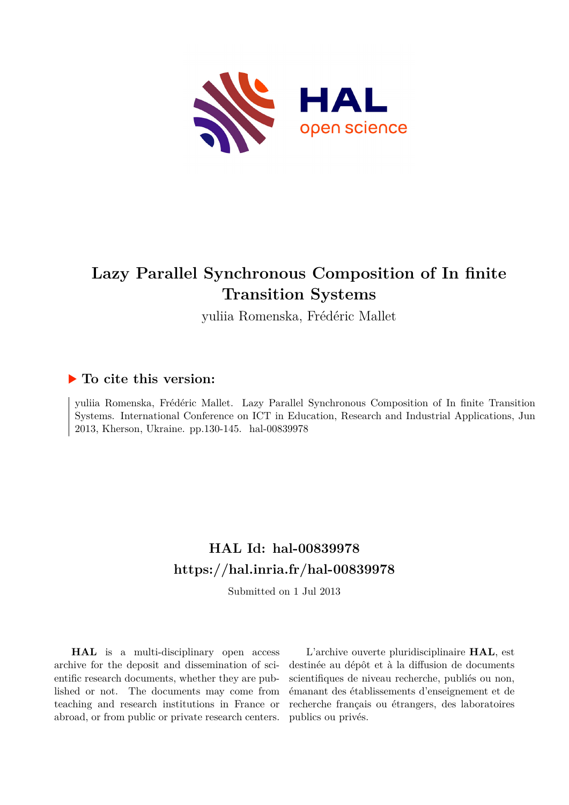

# **Lazy Parallel Synchronous Composition of In finite Transition Systems**

yuliia Romenska, Frédéric Mallet

# **To cite this version:**

yuliia Romenska, Frédéric Mallet. Lazy Parallel Synchronous Composition of In finite Transition Systems. International Conference on ICT in Education, Research and Industrial Applications, Jun 2013, Kherson, Ukraine. pp.130-145. hal-00839978

# **HAL Id: hal-00839978 <https://hal.inria.fr/hal-00839978>**

Submitted on 1 Jul 2013

**HAL** is a multi-disciplinary open access archive for the deposit and dissemination of scientific research documents, whether they are published or not. The documents may come from teaching and research institutions in France or abroad, or from public or private research centers.

L'archive ouverte pluridisciplinaire **HAL**, est destinée au dépôt et à la diffusion de documents scientifiques de niveau recherche, publiés ou non, émanant des établissements d'enseignement et de recherche français ou étrangers, des laboratoires publics ou privés.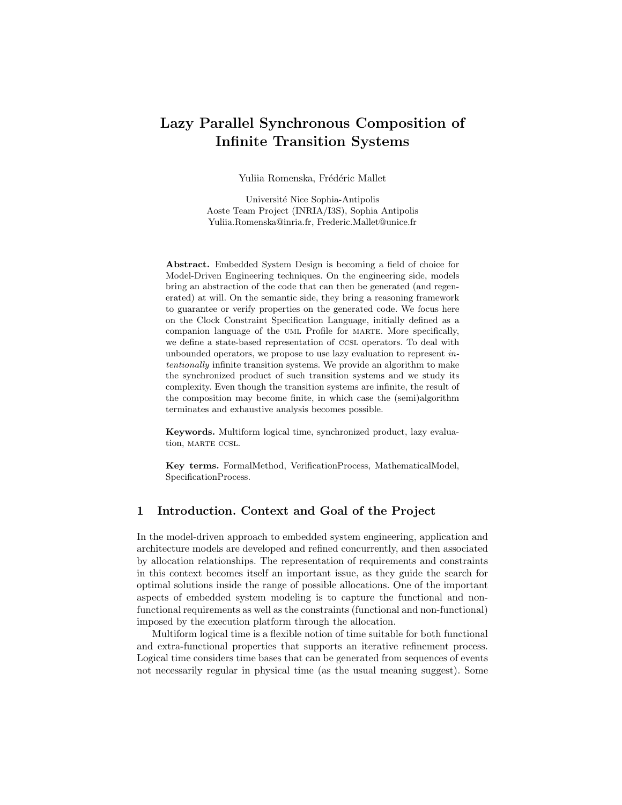# Lazy Parallel Synchronous Composition of Infinite Transition Systems

Yuliia Romenska, Frédéric Mallet

Universit´e Nice Sophia-Antipolis Aoste Team Project (INRIA/I3S), Sophia Antipolis Yuliia.Romenska@inria.fr, Frederic.Mallet@unice.fr

Abstract. Embedded System Design is becoming a field of choice for Model-Driven Engineering techniques. On the engineering side, models bring an abstraction of the code that can then be generated (and regenerated) at will. On the semantic side, they bring a reasoning framework to guarantee or verify properties on the generated code. We focus here on the Clock Constraint Specification Language, initially defined as a companion language of the UML Profile for MARTE. More specifically, we define a state-based representation of ccsl operators. To deal with unbounded operators, we propose to use lazy evaluation to represent intentionally infinite transition systems. We provide an algorithm to make the synchronized product of such transition systems and we study its complexity. Even though the transition systems are infinite, the result of the composition may become finite, in which case the (semi)algorithm terminates and exhaustive analysis becomes possible.

Keywords. Multiform logical time, synchronized product, lazy evaluation, MARTE CCSL.

Key terms. FormalMethod, VerificationProcess, MathematicalModel, SpecificationProcess.

# 1 Introduction. Context and Goal of the Project

In the model-driven approach to embedded system engineering, application and architecture models are developed and refined concurrently, and then associated by allocation relationships. The representation of requirements and constraints in this context becomes itself an important issue, as they guide the search for optimal solutions inside the range of possible allocations. One of the important aspects of embedded system modeling is to capture the functional and nonfunctional requirements as well as the constraints (functional and non-functional) imposed by the execution platform through the allocation.

Multiform logical time is a flexible notion of time suitable for both functional and extra-functional properties that supports an iterative refinement process. Logical time considers time bases that can be generated from sequences of events not necessarily regular in physical time (as the usual meaning suggest). Some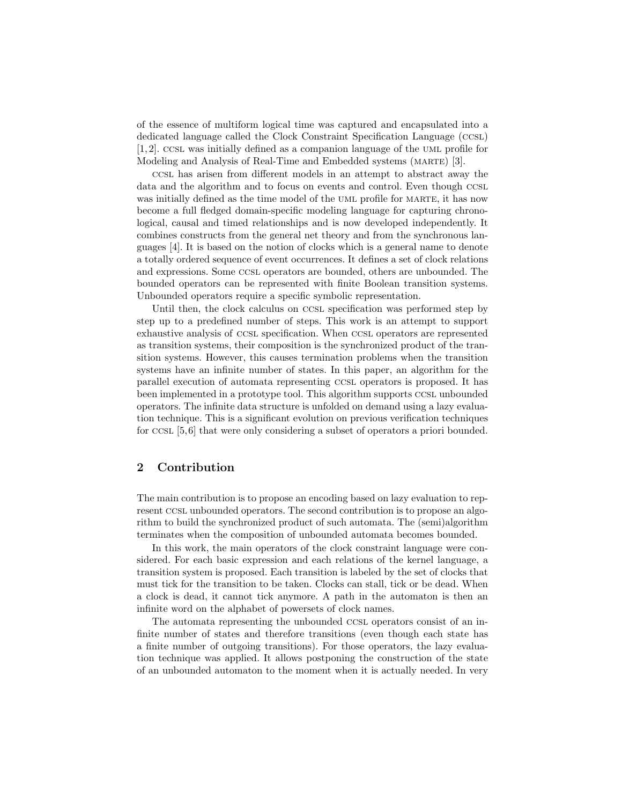of the essence of multiform logical time was captured and encapsulated into a dedicated language called the Clock Constraint Specification Language (ccsl) [1, 2]. ccsl was initially defined as a companion language of the uml profile for Modeling and Analysis of Real-Time and Embedded systems (MARTE) [3].

ccsl has arisen from different models in an attempt to abstract away the data and the algorithm and to focus on events and control. Even though ccsl was initially defined as the time model of the UML profile for MARTE, it has now become a full fledged domain-specific modeling language for capturing chronological, causal and timed relationships and is now developed independently. It combines constructs from the general net theory and from the synchronous languages [4]. It is based on the notion of clocks which is a general name to denote a totally ordered sequence of event occurrences. It defines a set of clock relations and expressions. Some ccsl operators are bounded, others are unbounded. The bounded operators can be represented with finite Boolean transition systems. Unbounded operators require a specific symbolic representation.

Until then, the clock calculus on CCSL specification was performed step by step up to a predefined number of steps. This work is an attempt to support exhaustive analysis of ccsl specification. When ccsl operators are represented as transition systems, their composition is the synchronized product of the transition systems. However, this causes termination problems when the transition systems have an infinite number of states. In this paper, an algorithm for the parallel execution of automata representing ccsl operators is proposed. It has been implemented in a prototype tool. This algorithm supports ccsl unbounded operators. The infinite data structure is unfolded on demand using a lazy evaluation technique. This is a significant evolution on previous verification techniques for ccsl [5,6] that were only considering a subset of operators a priori bounded.

# 2 Contribution

The main contribution is to propose an encoding based on lazy evaluation to represent ccsl unbounded operators. The second contribution is to propose an algorithm to build the synchronized product of such automata. The (semi)algorithm terminates when the composition of unbounded automata becomes bounded.

In this work, the main operators of the clock constraint language were considered. For each basic expression and each relations of the kernel language, a transition system is proposed. Each transition is labeled by the set of clocks that must tick for the transition to be taken. Clocks can stall, tick or be dead. When a clock is dead, it cannot tick anymore. A path in the automaton is then an infinite word on the alphabet of powersets of clock names.

The automata representing the unbounded ccsl operators consist of an infinite number of states and therefore transitions (even though each state has a finite number of outgoing transitions). For those operators, the lazy evaluation technique was applied. It allows postponing the construction of the state of an unbounded automaton to the moment when it is actually needed. In very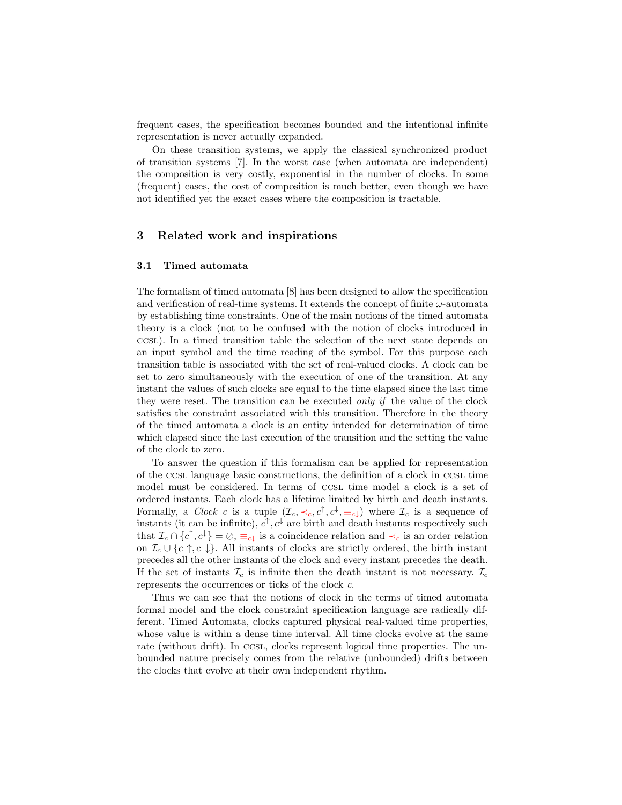frequent cases, the specification becomes bounded and the intentional infinite representation is never actually expanded.

On these transition systems, we apply the classical synchronized product of transition systems [7]. In the worst case (when automata are independent) the composition is very costly, exponential in the number of clocks. In some (frequent) cases, the cost of composition is much better, even though we have not identified yet the exact cases where the composition is tractable.

# 3 Related work and inspirations

#### 3.1 Timed automata

The formalism of timed automata [8] has been designed to allow the specification and verification of real-time systems. It extends the concept of finite  $\omega$ -automata by establishing time constraints. One of the main notions of the timed automata theory is a clock (not to be confused with the notion of clocks introduced in ccsl). In a timed transition table the selection of the next state depends on an input symbol and the time reading of the symbol. For this purpose each transition table is associated with the set of real-valued clocks. A clock can be set to zero simultaneously with the execution of one of the transition. At any instant the values of such clocks are equal to the time elapsed since the last time they were reset. The transition can be executed only if the value of the clock satisfies the constraint associated with this transition. Therefore in the theory of the timed automata a clock is an entity intended for determination of time which elapsed since the last execution of the transition and the setting the value of the clock to zero.

To answer the question if this formalism can be applied for representation of the ccsl language basic constructions, the definition of a clock in ccsl time model must be considered. In terms of ccsl time model a clock is a set of ordered instants. Each clock has a lifetime limited by birth and death instants. Formally, a *Clock c* is a tuple  $(\mathcal{I}_c, \prec_c, c^\uparrow, c^\downarrow, \equiv_{c\downarrow})$  where  $\mathcal{I}_c$  is a sequence of instants (it can be infinite),  $c^{\uparrow}, c^{\downarrow}$  are birth and death instants respectively such that  $\mathcal{I}_c \cap \{c^{\uparrow}, c^{\downarrow}\} = \emptyset$ ,  $\equiv_{c\downarrow}$  is a coincidence relation and  $\prec_c$  is an order relation on  $\mathcal{I}_c \cup \{c \uparrow, c \downarrow\}$ . All instants of clocks are strictly ordered, the birth instant precedes all the other instants of the clock and every instant precedes the death. If the set of instants  $\mathcal{I}_c$  is infinite then the death instant is not necessary.  $\mathcal{I}_c$ represents the occurrences or ticks of the clock c.

Thus we can see that the notions of clock in the terms of timed automata formal model and the clock constraint specification language are radically different. Timed Automata, clocks captured physical real-valued time properties, whose value is within a dense time interval. All time clocks evolve at the same rate (without drift). In CCSL, clocks represent logical time properties. The unbounded nature precisely comes from the relative (unbounded) drifts between the clocks that evolve at their own independent rhythm.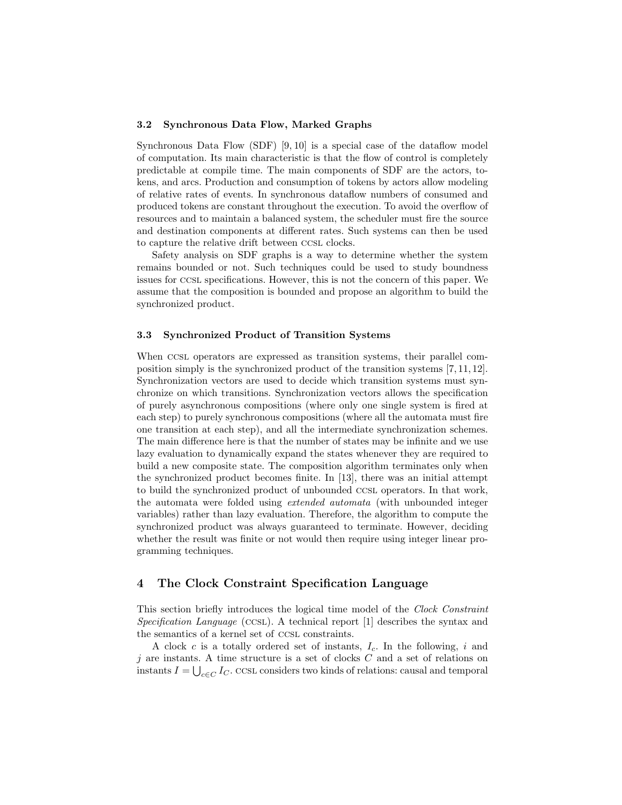#### 3.2 Synchronous Data Flow, Marked Graphs

Synchronous Data Flow (SDF) [9, 10] is a special case of the dataflow model of computation. Its main characteristic is that the flow of control is completely predictable at compile time. The main components of SDF are the actors, tokens, and arcs. Production and consumption of tokens by actors allow modeling of relative rates of events. In synchronous dataflow numbers of consumed and produced tokens are constant throughout the execution. To avoid the overflow of resources and to maintain a balanced system, the scheduler must fire the source and destination components at different rates. Such systems can then be used to capture the relative drift between ccsl clocks.

Safety analysis on SDF graphs is a way to determine whether the system remains bounded or not. Such techniques could be used to study boundness issues for ccsl specifications. However, this is not the concern of this paper. We assume that the composition is bounded and propose an algorithm to build the synchronized product.

#### 3.3 Synchronized Product of Transition Systems

When ccsl operators are expressed as transition systems, their parallel composition simply is the synchronized product of the transition systems [7, 11, 12]. Synchronization vectors are used to decide which transition systems must synchronize on which transitions. Synchronization vectors allows the specification of purely asynchronous compositions (where only one single system is fired at each step) to purely synchronous compositions (where all the automata must fire one transition at each step), and all the intermediate synchronization schemes. The main difference here is that the number of states may be infinite and we use lazy evaluation to dynamically expand the states whenever they are required to build a new composite state. The composition algorithm terminates only when the synchronized product becomes finite. In [13], there was an initial attempt to build the synchronized product of unbounded ccsl operators. In that work, the automata were folded using extended automata (with unbounded integer variables) rather than lazy evaluation. Therefore, the algorithm to compute the synchronized product was always guaranteed to terminate. However, deciding whether the result was finite or not would then require using integer linear programming techniques.

### 4 The Clock Constraint Specification Language

This section briefly introduces the logical time model of the Clock Constraint Specification Language (ccsl). A technical report [1] describes the syntax and the semantics of a kernel set of ccsl constraints.

A clock c is a totally ordered set of instants,  $I_c$ . In the following, i and  $j$  are instants. A time structure is a set of clocks  $C$  and a set of relations on instants  $I = \bigcup_{c \in C} I_C$ . CCSL considers two kinds of relations: causal and temporal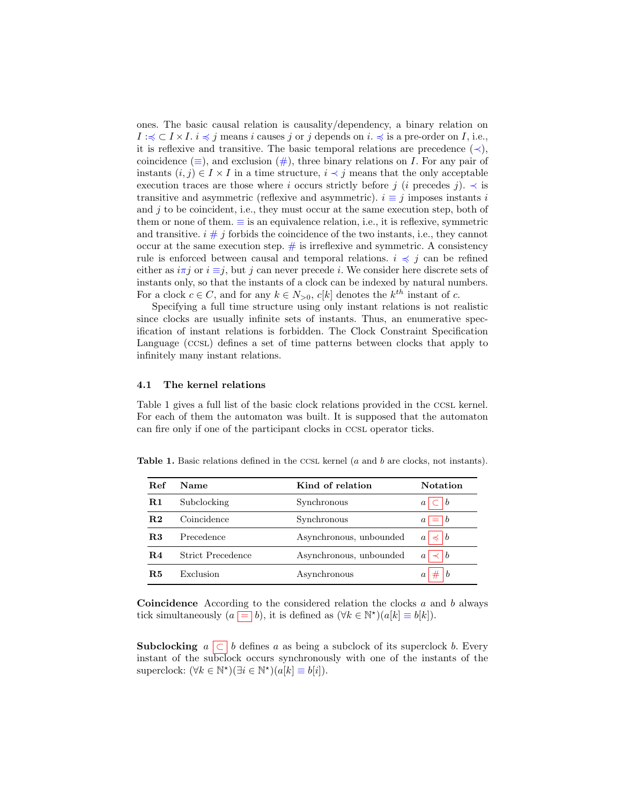ones. The basic causal relation is causality/dependency, a binary relation on  $I \preccurlyeq \subset I \times I$ .  $i \preccurlyeq j$  means i causes j or j depends on i.  $\preccurlyeq$  is a pre-order on I, i.e., it is reflexive and transitive. The basic temporal relations are precedence  $(\prec)$ , coincidence  $(\equiv)$ , and exclusion  $(\#)$ , three binary relations on I. For any pair of instants  $(i, j) \in I \times I$  in a time structure,  $i \prec j$  means that the only acceptable execution traces are those where i occurs strictly before j (i precedes j).  $\prec$  is transitive and asymmetric (reflexive and asymmetric).  $i \equiv j$  imposes instants i and  $j$  to be coincident, i.e., they must occur at the same execution step, both of them or none of them.  $\equiv$  is an equivalence relation, i.e., it is reflexive, symmetric and transitive.  $i \# j$  forbids the coincidence of the two instants, i.e., they cannot occur at the same execution step.  $\#$  is irreflexive and symmetric. A consistency rule is enforced between causal and temporal relations.  $i \preccurlyeq j$  can be refined either as  $i\pi j$  or  $i \equiv j$ , but j can never precede i. We consider here discrete sets of instants only, so that the instants of a clock can be indexed by natural numbers. For a clock  $c \in C$ , and for any  $k \in N_{>0}$ ,  $c[k]$  denotes the  $k^{th}$  instant of c.

Specifying a full time structure using only instant relations is not realistic since clocks are usually infinite sets of instants. Thus, an enumerative specification of instant relations is forbidden. The Clock Constraint Specification Language (ccsl) defines a set of time patterns between clocks that apply to infinitely many instant relations.

# 4.1 The kernel relations

Table 1 gives a full list of the basic clock relations provided in the CCSL kernel. For each of them the automaton was built. It is supposed that the automaton can fire only if one of the participant clocks in ccsl operator ticks.

| Ref            | Name              | Kind of relation        | Notation                  |
|----------------|-------------------|-------------------------|---------------------------|
| R1             | Subclocking       | Synchronous             | 1 <i>b</i>                |
| R <sub>2</sub> | Coincidence       | Synchronous             | $=  b $                   |
| R3             | Precedence        | Asynchronous, unbounded | $\cdot$ 1 $b$<br>$\alpha$ |
| $\bf{R}$       | Strict Precedence | Asynchronous, unbounded | $\mathsf{L} b$            |
| <b>R5</b>      | Exclusion         | Asynchronous            | $^{\#}$<br>b<br>$\it{a}$  |

**Table 1.** Basic relations defined in the CCSL kernel ( $a$  and  $b$  are clocks, not instants).

**Coincidence** According to the considered relation the clocks  $a$  and  $b$  always tick simultaneously  $(a \equiv b)$ , it is defined as  $(\forall k \in \mathbb{N}^*)(a[k] \equiv b[k])$ .

**Subclocking**  $a \subset b$  defines a as being a subclock of its superclock b. Every instant of the subclock occurs synchronously with one of the instants of the superclock:  $(\forall k \in \mathbb{N}^*) (\exists i \in \mathbb{N}^*) (a[k] \equiv b[i]).$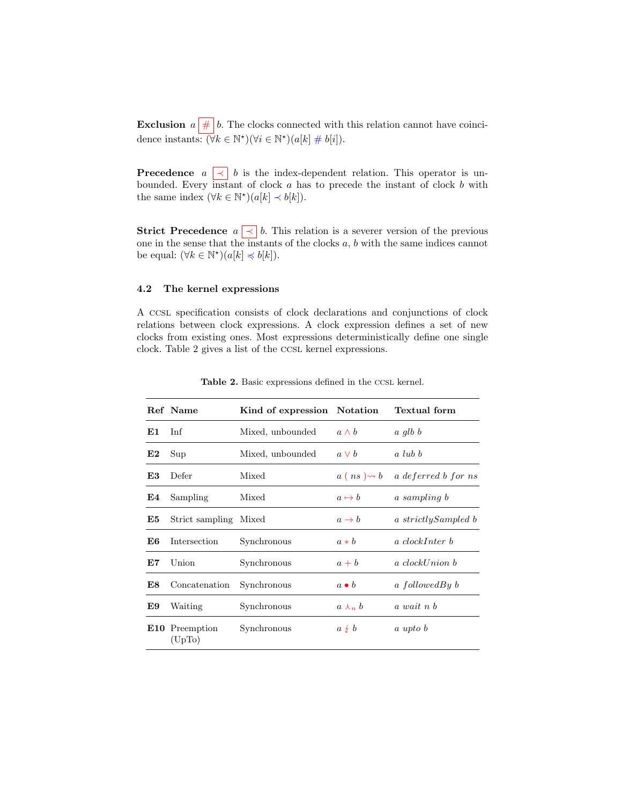**Exclusion**  $a \neq b$ . The clocks connected with this relation cannot have coincidence instants:  $(\forall k \in \mathbb{N}^*) (\forall i \in \mathbb{N}^*) (a[k] \# b[i]).$ 

**Precedence**  $a \leq b$  is the index-dependent relation. This operator is unbounded. Every instant of clock  $a$  has to precede the instant of clock  $b$  with the same index  $(\forall k \in \mathbb{N}^*) (a[k] \prec b[k])$ .

**Strict Precedence**  $a \mid \prec b$ . This relation is a severer version of the previous one in the sense that the instants of the clocks  $a, b$  with the same indices cannot be equal:  $(\forall k \in \mathbb{N}^*)(a[k] \preccurlyeq b[k])$ .

#### 4.2 The kernel expressions

A ccsl specification consists of clock declarations and conjunctions of clock relations between clock expressions. A clock expression defines a set of new clocks from existing ones. Most expressions deterministically define one single clock. Table 2 gives a list of the CCSL kernel expressions.

|                         | Ref Name             | Kind of expression | Notation                | Textual form        |
|-------------------------|----------------------|--------------------|-------------------------|---------------------|
| E1.                     | Inf                  | Mixed, unbounded   | $a \wedge b$            | $a$ qlb $b$         |
| $\boldsymbol{{\rm E}2}$ | Sup                  | Mixed, unbounded   | $a \vee b$              | a lub b             |
| E3                      | Defer                | Mixed              | $a(n s) \rightarrow b$  | a deferred b for ns |
| E4                      | Sampling             | Mixed              | $a \mapsto b$           | a sampling b        |
| E5                      | Strict sampling      | Mixed              | $a \rightarrow b$       | a strictlySampled b |
| E6                      | Intersection         | Synchronous        | $a * b$                 | a clockInter b      |
| E7                      | Union                | Synchronous        | $a + b$                 | a clockUnion b      |
| E8                      | Concatenation        | Synchronous        | $a \bullet b$           | a followedBy b      |
| E9                      | Waiting              | Synchronous        | $a \nightharpoonup_n b$ | a wait n b          |
| E10                     | Preemption<br>(UpTo) | Synchronous        | $a \not b$              | a upto b            |

Table 2. Basic expressions defined in the CCSL kernel.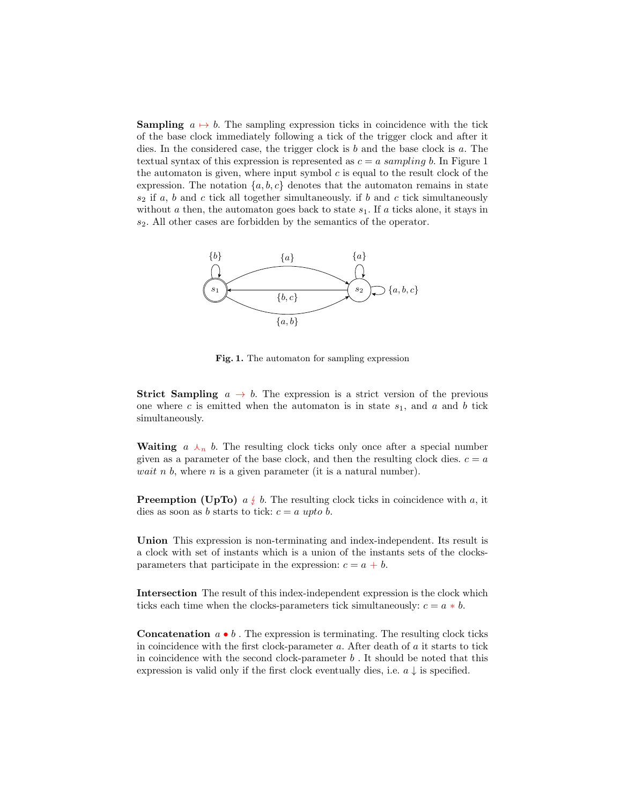**Sampling**  $a \mapsto b$ . The sampling expression ticks in coincidence with the tick of the base clock immediately following a tick of the trigger clock and after it dies. In the considered case, the trigger clock is  $b$  and the base clock is  $a$ . The textual syntax of this expression is represented as  $c = a$  sampling b. In Figure 1 the automaton is given, where input symbol  $c$  is equal to the result clock of the expression. The notation  $\{a, b, c\}$  denotes that the automaton remains in state  $s_2$  if a, b and c tick all together simultaneously. if b and c tick simultaneously without a then, the automaton goes back to state  $s_1$ . If a ticks alone, it stays in s2. All other cases are forbidden by the semantics of the operator.



Fig. 1. The automaton for sampling expression

**Strict Sampling**  $a \rightarrow b$ . The expression is a strict version of the previous one where c is emitted when the automaton is in state  $s_1$ , and a and b tick simultaneously.

**Waiting**  $a \nightharpoonup_n b$ . The resulting clock ticks only once after a special number given as a parameter of the base clock, and then the resulting clock dies.  $c = a$ wait n b, where n is a given parameter (it is a natural number).

**Preemption (UpTo)**  $a \not b$ . The resulting clock ticks in coincidence with a, it dies as soon as b starts to tick:  $c = a$  upto b.

Union This expression is non-terminating and index-independent. Its result is a clock with set of instants which is a union of the instants sets of the clocksparameters that participate in the expression:  $c = a + b$ .

Intersection The result of this index-independent expression is the clock which ticks each time when the clocks-parameters tick simultaneously:  $c = a * b$ .

**Concatenation**  $a \cdot b$ . The expression is terminating. The resulting clock ticks in coincidence with the first clock-parameter  $a$ . After death of  $a$  it starts to tick in coincidence with the second clock-parameter  $b$ . It should be noted that this expression is valid only if the first clock eventually dies, i.e.  $a \downarrow$  is specified.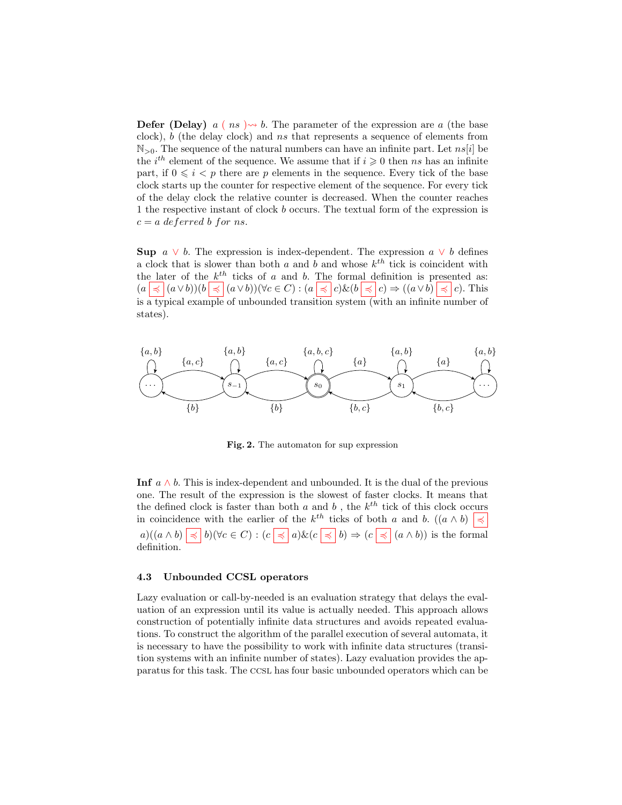**Defer (Delay)** a (*ns*) $\rightsquigarrow$ *b*. The parameter of the expression are a (the base clock), b (the delay clock) and ns that represents a sequence of elements from  $\mathbb{N}_{>0}$ . The sequence of the natural numbers can have an infinite part. Let  $ns[i]$  be the  $i^{th}$  element of the sequence. We assume that if  $i \geqslant 0$  then ns has an infinite part, if  $0 \leq i \leq p$  there are p elements in the sequence. Every tick of the base clock starts up the counter for respective element of the sequence. For every tick of the delay clock the relative counter is decreased. When the counter reaches 1 the respective instant of clock b occurs. The textual form of the expression is  $c = a \, \text{deferred} \, b \, \text{for} \, ns.$ 

Sup  $a \vee b$ . The expression is index-dependent. The expression  $a \vee b$  defines a clock that is slower than both a and b and whose  $k^{th}$  tick is coincident with the later of the  $k^{th}$  ticks of a and b. The formal definition is presented as:  $(a \leq (a \vee b))(b \leq (a \vee b))(b \leq C): (a \leq c) \& (b \leq c) \Rightarrow ((a \vee b) \leq c).$  This is a typical example of unbounded transition system (with an infinite number of states).



Fig. 2. The automaton for sup expression

**Inf**  $a \wedge b$ . This is index-dependent and unbounded. It is the dual of the previous one. The result of the expression is the slowest of faster clocks. It means that the defined clock is faster than both  $a$  and  $b$ , the  $k^{th}$  tick of this clock occurs in coincidence with the earlier of the  $k^{th}$  ticks of both a and b.  $((a \wedge b) \preceq$ a)((a ∧ b)  $\leq b$ )( $\forall c \in C$ ) : (c  $\leq a$ )&(c  $\leq b$ )  $\Rightarrow$  (c  $\leq (a \wedge b)$ ) is the formal definition.

#### 4.3 Unbounded CCSL operators

Lazy evaluation or call-by-needed is an evaluation strategy that delays the evaluation of an expression until its value is actually needed. This approach allows construction of potentially infinite data structures and avoids repeated evaluations. To construct the algorithm of the parallel execution of several automata, it is necessary to have the possibility to work with infinite data structures (transition systems with an infinite number of states). Lazy evaluation provides the apparatus for this task. The ccsl has four basic unbounded operators which can be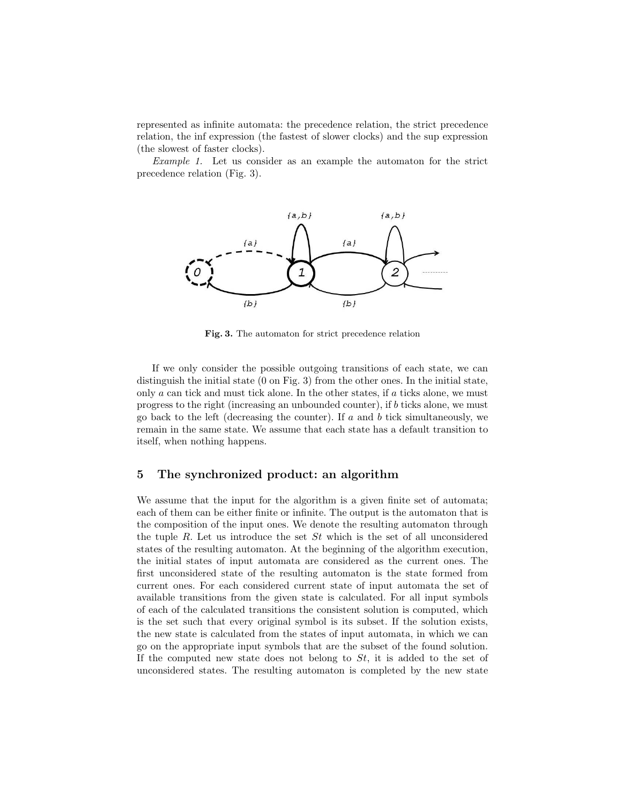represented as infinite automata: the precedence relation, the strict precedence relation, the inf expression (the fastest of slower clocks) and the sup expression (the slowest of faster clocks).

Example 1. Let us consider as an example the automaton for the strict precedence relation (Fig. 3).



Fig. 3. The automaton for strict precedence relation

If we only consider the possible outgoing transitions of each state, we can distinguish the initial state (0 on Fig. 3) from the other ones. In the initial state, only a can tick and must tick alone. In the other states, if a ticks alone, we must progress to the right (increasing an unbounded counter), if b ticks alone, we must go back to the left (decreasing the counter). If  $a$  and  $b$  tick simultaneously, we remain in the same state. We assume that each state has a default transition to itself, when nothing happens.

### 5 The synchronized product: an algorithm

We assume that the input for the algorithm is a given finite set of automata; each of them can be either finite or infinite. The output is the automaton that is the composition of the input ones. We denote the resulting automaton through the tuple  $R$ . Let us introduce the set  $St$  which is the set of all unconsidered states of the resulting automaton. At the beginning of the algorithm execution, the initial states of input automata are considered as the current ones. The first unconsidered state of the resulting automaton is the state formed from current ones. For each considered current state of input automata the set of available transitions from the given state is calculated. For all input symbols of each of the calculated transitions the consistent solution is computed, which is the set such that every original symbol is its subset. If the solution exists, the new state is calculated from the states of input automata, in which we can go on the appropriate input symbols that are the subset of the found solution. If the computed new state does not belong to  $St$ , it is added to the set of unconsidered states. The resulting automaton is completed by the new state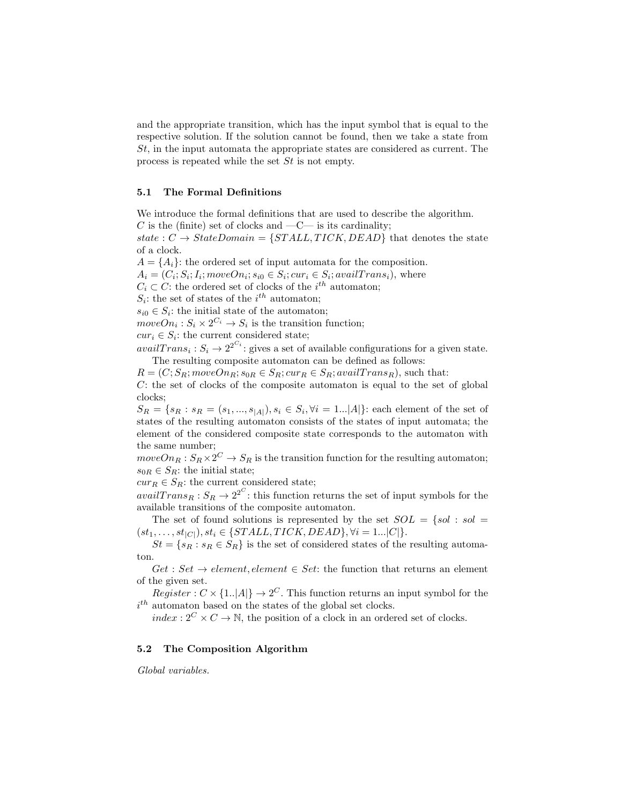and the appropriate transition, which has the input symbol that is equal to the respective solution. If the solution cannot be found, then we take a state from St, in the input automata the appropriate states are considered as current. The process is repeated while the set St is not empty.

#### 5.1 The Formal Definitions

We introduce the formal definitions that are used to describe the algorithm.

C is the (finite) set of clocks and  $-C$ — is its cardinality;

state :  $C \rightarrow StateDomain = \{STALL, TICK, DEAD\}$  that denotes the state of a clock.

 $A = \{A_i\}$ : the ordered set of input automata for the composition.

 $A_i = (C_i; S_i; I_i; moveOn_i; s_{i0} \in S_i; cur_i \in S_i; availTrans_i),$  where

 $C_i \subset C$ : the ordered set of clocks of the  $i^{th}$  automaton;

 $S_i$ : the set of states of the  $i^{th}$  automaton;

 $s_{i0} \in S_i$ : the initial state of the automaton;

 $moveOn_i: S_i \times 2^{C_i} \rightarrow S_i$  is the transition function;

 $cur_i \in S_i$ : the current considered state;

 $availTrans_i: S_i \rightarrow 2^{2^{C_i}}$ : gives a set of available configurations for a given state. The resulting composite automaton can be defined as follows:

 $R = (C; S_R; moveOn_R; s_{0R} \in S_R; cur_R \in S_R; availTrans_R),$  such that:  $C$ : the set of clocks of the composite automaton is equal to the set of global clocks;

 $S_R = \{s_R : s_R = (s_1, ..., s_{|A|}), s_i \in S_i, \forall i = 1...|A|\}$ : each element of the set of states of the resulting automaton consists of the states of input automata; the element of the considered composite state corresponds to the automaton with the same number;

 $moveOn_R: S_R \times 2^C \rightarrow S_R$  is the transition function for the resulting automaton;  $s_{0R} \in S_R$ : the initial state;

 $cur_R \in S_R$ : the current considered state;

 $availTrans_R: S_R \rightarrow 2^{2^C}$ : this function returns the set of input symbols for the available transitions of the composite automaton.

The set of found solutions is represented by the set  $SOL = \{sol : sol =$  $(st_1, ..., st_{|C|}), st_i \in \{STALL, TICK, DEAD\}, \forall i = 1...|C|\}.$ 

 $St = \{s_R : s_R \in S_R\}$  is the set of considered states of the resulting automaton.

 $Get : Set \rightarrow element, element \in Set:$  the function that returns an element of the given set.

 $Register: C \times \{1. |A|\} \rightarrow 2^C$ . This function returns an input symbol for the  $i<sup>th</sup>$  automaton based on the states of the global set clocks.

 $index: 2^C \times C \rightarrow \mathbb{N}$ , the position of a clock in an ordered set of clocks.

### 5.2 The Composition Algorithm

Global variables.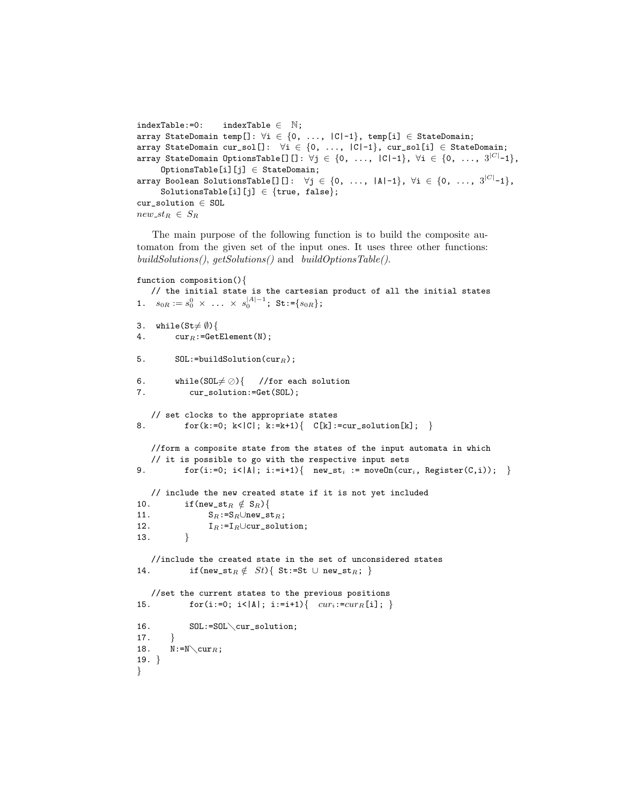```
indexTable:=0: indexTable \in \mathbb{N};
array StateDomain temp[]: \forall i \in \{0, ..., |C|-1\}, temp[i] \in StateDomain;
array StateDomain cur_sol[]: \forall i \in \{0, ..., |C|-1\}, cur_sol[i] \in StateDomain;
array StateDomain OptionsTable[][]: \forall j \ \in \{0, \ \ldots, \ |{\tt C}|-1\}, \ \forall i \ \in \{0, \ \ldots, \ 3^{|C|}-1\},OptionsTable[i][j] ∈ StateDomain;
array Boolean SolutionsTable[][]: \forall j \in \{0, \ \ldots, \ |{\texttt{A}}|-\texttt{1}\}, \ \forall {\texttt{i}} \in \{0, \ \ldots, \ 3^{|C|}-\texttt{1}\},SolutionsTable[i][j] \in {true, false};
cur_solution ∈ SOL
new_st_R \in S_R
```
The main purpose of the following function is to build the composite automaton from the given set of the input ones. It uses three other functions: buildSolutions(),  $getSolutions()$  and buildOptionsTable().

```
function composition(){
```
// the initial state is the cartesian product of all the initial states 1.  $s_{0R} := s_0^0 \times ... \times s_0^{|A|-1}$ ; St:={ $s_{0R}$ };

```
3. while(St\neq Ø){
```

```
4. \text{cur}_R: = \text{GetElement}(N);
```

```
5. SOL:=buildSolution(cur_R);
```

```
6. while(SOL\neq \emptyset){ //for each solution
7. cur_solution:=Get(SOL);
```

```
// set clocks to the appropriate states
8. for(k:=0; k<|C|; k:=k+1){ C[k]:=cur_solution[k]; }
```

```
//form a composite state from the states of the input automata in which
  // it is possible to go with the respective input sets
9. for(i:=0; i<|A|; i:=i+1){ new_st_i := moveOn(cur_i, Register(C,i)); }
```

```
// include the new created state if it is not yet included
```

```
10. if (new_st<sub>R</sub> \notin S<sub>R</sub>){
```

```
11. S_R := S_R \cup new\_st_R;
```

```
12. I_R:=I_R\cup \text{cur\_solution};13. }
```

```
//include the created state in the set of unconsidered states
14. if(new_st_R \notin St){ St:=St ∪ new_st_R; }
```

```
//set the current states to the previous positions
15. for(i:=0; i<|A|; i:=i+1){ cur_i:=cur_R[i];
```

```
16. SOL:=SOL\cur_solution;
17. }
```

```
18. N:=N\backslash cur_R;19. }
```

```
}
```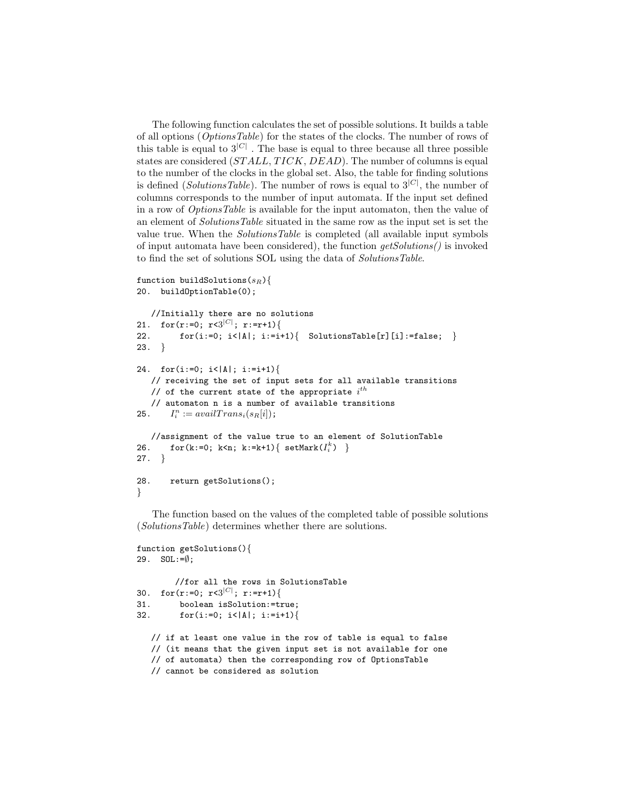The following function calculates the set of possible solutions. It builds a table of all options (OptionsTable) for the states of the clocks. The number of rows of this table is equal to  $3^{|C|}$ . The base is equal to three because all three possible states are considered (STALL, TICK, DEAD). The number of columns is equal to the number of the clocks in the global set. Also, the table for finding solutions is defined (*SolutionsTable*). The number of rows is equal to  $3^{|C|}$ , the number of columns corresponds to the number of input automata. If the input set defined in a row of OptionsTable is available for the input automaton, then the value of an element of SolutionsTable situated in the same row as the input set is set the value true. When the SolutionsTable is completed (all available input symbols of input automata have been considered), the function  $getSolutions()$  is invoked to find the set of solutions SOL using the data of SolutionsTable.

```
function buildSolutions(s_R){
20. buildOptionTable(0);
   //Initially there are no solutions
21. for(r:=0; r<3^{|C|}; r:=r+1){
22. for(i:=0; i<|A|; i:=i+1){ SolutionsTable[r][i]:=false; }
23. }
24. for(i:=0; i<|A|; i:=i+1){
   // receiving the set of input sets for all available transitions
   // of the current state of the appropriate i^{th}// automaton n is a number of available transitions
25.i^n := availTrans_i(s_R[i]);
   //assignment of the value true to an element of SolutionTable
26. for(k:=0; k<n; k:=k+1)\{ setMark(I_i^k) \}27.}
28. return getSolutions();
}
```
The function based on the values of the completed table of possible solutions (SolutionsTable) determines whether there are solutions.

```
function getSolutions(){
29. SOL:=∅;
       //for all the rows in SolutionsTable
30. for(r:=0; r<3^{|C|}; r:=r+1){
31. boolean isSolution:=true;
32. for(i:=0; i<|A|; i:=i+1)// if at least one value in the row of table is equal to false
  // (it means that the given input set is not available for one
  // of automata) then the corresponding row of OptionsTable
  // cannot be considered as solution
```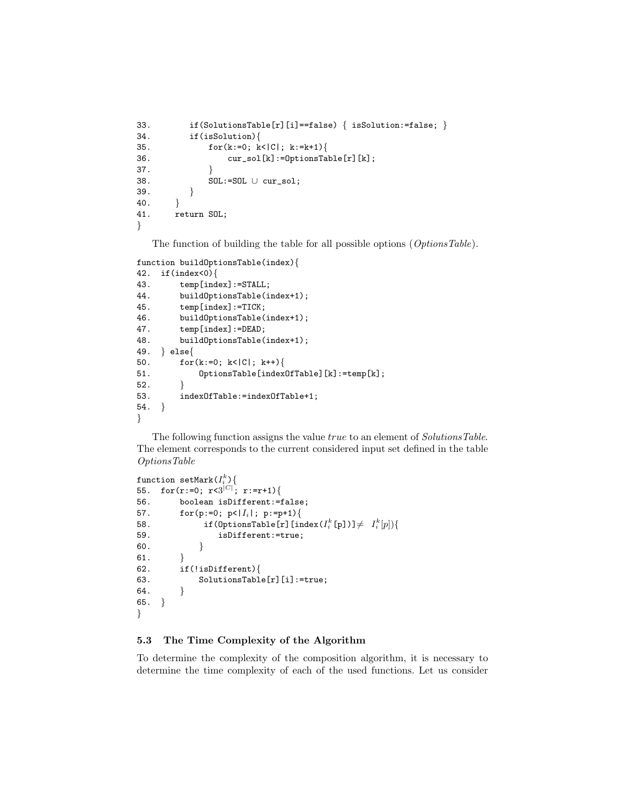```
33. if(SolutionsTable[r][i]==false) { isSolution:=false; }
34. if(isSolution){
35. for(k:=0; k<|C|; k:=k+1)36. cur_sol[k]:=OptionsTable[r][k];
37. }
38. SOL:=SOL ∪ cur_sol;
39. }
40. }
41. return SOL;
}
```
The function of building the table for all possible options (*OptionsTable*).

```
function buildOptionsTable(index){
42. if(index<0){
43. temp[index]:=STALL;
44. buildOptionsTable(index+1);
45. temp[index]:=TICK;
46. buildOptionsTable(index+1);
47. temp[index]:=DEAD;
48. buildOptionsTable(index+1);
49. } else{
50. for(k:=0; k<|C|; k++){
51. OptionsTable[indexOfTable][k]:=temp[k];
52. }
53. indexOfTable:=indexOfTable+1;
54. }
}
```
The following function assigns the value true to an element of SolutionsTable. The element corresponds to the current considered input set defined in the table OptionsTable

```
function setMark(I_i^k) \{55. for(r:=0; r<3^{|C|}; r:=r+1){
56. boolean isDifferent:=false;
57. for(p:=0; p<|I_i|; p:=p+1){
58. \qquad \qquad \quad \quad \text{if} \texttt{(OptionsTable[r][index(I^{k}_{i}[p])]} \neq \texttt{ } I^{k}_{i}[p]) \{ \}59. isDifferent:=true;
60. }
61. }
62. if(!isDifferent){
63. SolutionsTable[r][i]:=true;
64. }
65. }
}
```
### 5.3 The Time Complexity of the Algorithm

To determine the complexity of the composition algorithm, it is necessary to determine the time complexity of each of the used functions. Let us consider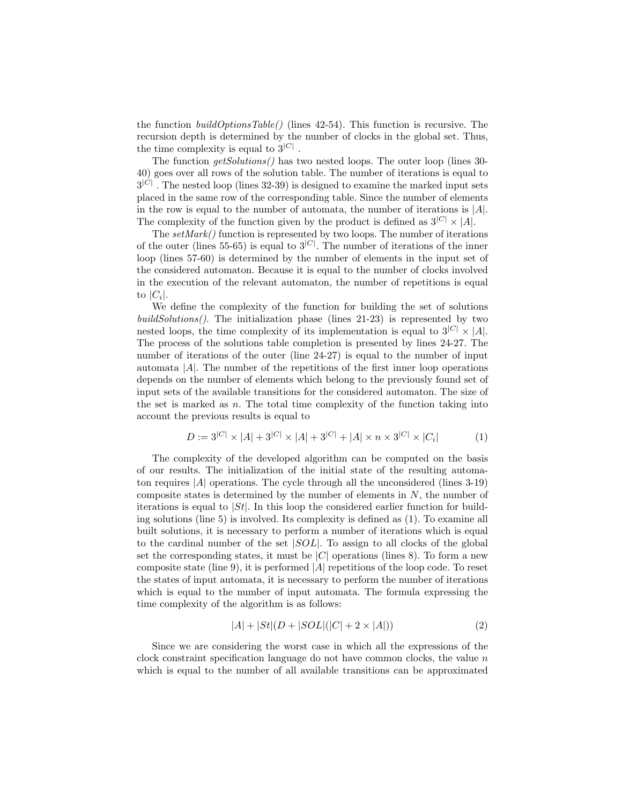the function  $buildOptionsTable()$  (lines 42-54). This function is recursive. The recursion depth is determined by the number of clocks in the global set. Thus, the time complexity is equal to  $3^{|C|}$ .

The function getSolutions() has two nested loops. The outer loop (lines 30-40) goes over all rows of the solution table. The number of iterations is equal to  $3^{|C|}$ . The nested loop (lines 32-39) is designed to examine the marked input sets placed in the same row of the corresponding table. Since the number of elements in the row is equal to the number of automata, the number of iterations is  $|A|$ . The complexity of the function given by the product is defined as  $3^{|C|} \times |A|$ .

The  $setMark()$  function is represented by two loops. The number of iterations of the outer (lines 55-65) is equal to  $3^{|C|}$ . The number of iterations of the inner loop (lines 57-60) is determined by the number of elements in the input set of the considered automaton. Because it is equal to the number of clocks involved in the execution of the relevant automaton, the number of repetitions is equal to  $|C_i|$ .

We define the complexity of the function for building the set of solutions  $buildSolutions()$ . The initialization phase (lines  $21-23$ ) is represented by two nested loops, the time complexity of its implementation is equal to  $3^{|C|} \times |A|$ . The process of the solutions table completion is presented by lines 24-27. The number of iterations of the outer (line 24-27) is equal to the number of input automata  $|A|$ . The number of the repetitions of the first inner loop operations depends on the number of elements which belong to the previously found set of input sets of the available transitions for the considered automaton. The size of the set is marked as  $n$ . The total time complexity of the function taking into account the previous results is equal to

$$
D := 3^{|C|} \times |A| + 3^{|C|} \times |A| + 3^{|C|} + |A| \times n \times 3^{|C|} \times |C_i| \tag{1}
$$

The complexity of the developed algorithm can be computed on the basis of our results. The initialization of the initial state of the resulting automaton requires |A| operations. The cycle through all the unconsidered (lines 3-19) composite states is determined by the number of elements in  $N$ , the number of iterations is equal to  $|St|$ . In this loop the considered earlier function for building solutions (line 5) is involved. Its complexity is defined as (1). To examine all built solutions, it is necessary to perform a number of iterations which is equal to the cardinal number of the set |SOL|. To assign to all clocks of the global set the corresponding states, it must be  $|C|$  operations (lines 8). To form a new composite state (line 9), it is performed  $|A|$  repetitions of the loop code. To reset the states of input automata, it is necessary to perform the number of iterations which is equal to the number of input automata. The formula expressing the time complexity of the algorithm is as follows:

$$
|A| + |St|(D + |SOL|(|C| + 2 \times |A|))
$$
\n(2)

Since we are considering the worst case in which all the expressions of the clock constraint specification language do not have common clocks, the value  $n$ which is equal to the number of all available transitions can be approximated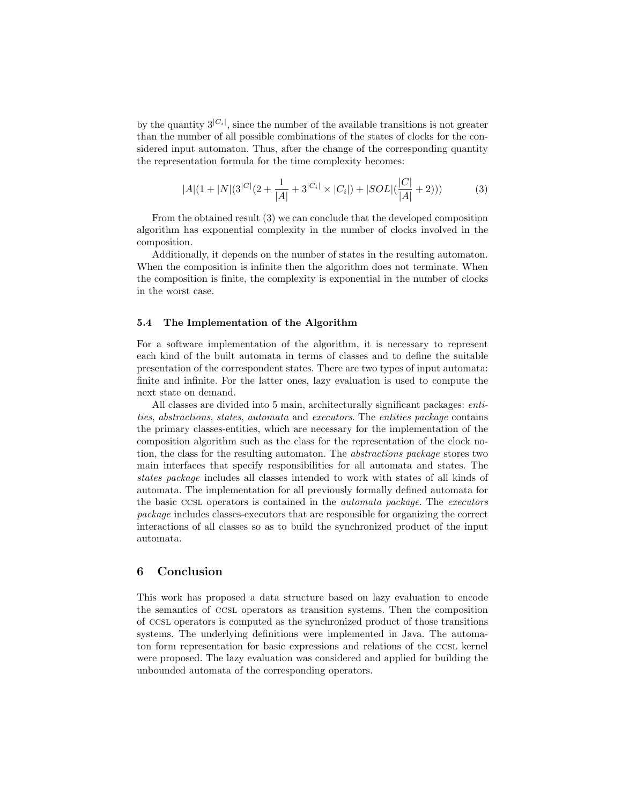by the quantity  $3^{|C_i|}$ , since the number of the available transitions is not greater than the number of all possible combinations of the states of clocks for the considered input automaton. Thus, after the change of the corresponding quantity the representation formula for the time complexity becomes:

$$
|A|(1+|N|(3^{|C|}(2+\frac{1}{|A|}+3^{|C_i|} \times |C_i|) + |SOL|(\frac{|C|}{|A|}+2)))
$$
\n(3)

From the obtained result (3) we can conclude that the developed composition algorithm has exponential complexity in the number of clocks involved in the composition.

Additionally, it depends on the number of states in the resulting automaton. When the composition is infinite then the algorithm does not terminate. When the composition is finite, the complexity is exponential in the number of clocks in the worst case.

#### 5.4 The Implementation of the Algorithm

For a software implementation of the algorithm, it is necessary to represent each kind of the built automata in terms of classes and to define the suitable presentation of the correspondent states. There are two types of input automata: finite and infinite. For the latter ones, lazy evaluation is used to compute the next state on demand.

All classes are divided into 5 main, architecturally significant packages: entities, abstractions, states, automata and executors. The entities package contains the primary classes-entities, which are necessary for the implementation of the composition algorithm such as the class for the representation of the clock notion, the class for the resulting automaton. The abstractions package stores two main interfaces that specify responsibilities for all automata and states. The states package includes all classes intended to work with states of all kinds of automata. The implementation for all previously formally defined automata for the basic ccsl operators is contained in the automata package. The executors package includes classes-executors that are responsible for organizing the correct interactions of all classes so as to build the synchronized product of the input automata.

# 6 Conclusion

This work has proposed a data structure based on lazy evaluation to encode the semantics of ccsl operators as transition systems. Then the composition of ccsl operators is computed as the synchronized product of those transitions systems. The underlying definitions were implemented in Java. The automaton form representation for basic expressions and relations of the ccsl kernel were proposed. The lazy evaluation was considered and applied for building the unbounded automata of the corresponding operators.